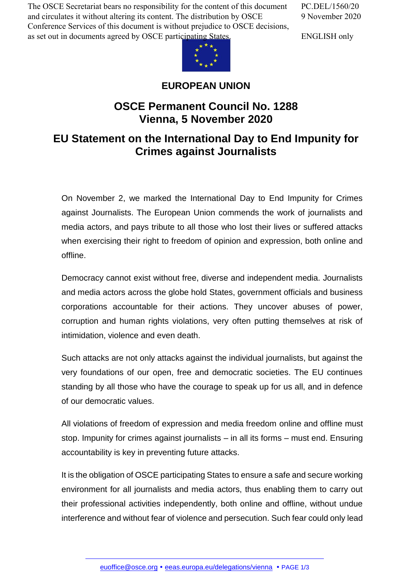The OSCE Secretariat bears no responsibility for the content of this document and circulates it without altering its content. The distribution by OSCE Conference Services of this document is without prejudice to OSCE decisions, as set out in documents agreed by OSCE participating States.

PC.DEL/1560/20 9 November 2020

ENGLISH only



## **EUROPEAN UNION**

## **OSCE Permanent Council No. 1288 Vienna, 5 November 2020**

## **EU Statement on the International Day to End Impunity for Crimes against Journalists**

On November 2, we marked the International Day to End Impunity for Crimes against Journalists. The European Union commends the work of journalists and media actors, and pays tribute to all those who lost their lives or suffered attacks when exercising their right to freedom of opinion and expression, both online and offline.

Democracy cannot exist without free, diverse and independent media. Journalists and media actors across the globe hold States, government officials and business corporations accountable for their actions. They uncover abuses of power, corruption and human rights violations, very often putting themselves at risk of intimidation, violence and even death.

Such attacks are not only attacks against the individual journalists, but against the very foundations of our open, free and democratic societies. The EU continues standing by all those who have the courage to speak up for us all, and in defence of our democratic values.

All violations of freedom of expression and media freedom online and offline must stop. Impunity for crimes against journalists – in all its forms – must end. Ensuring accountability is key in preventing future attacks.

It is the obligation of OSCE participating States to ensure a safe and secure working environment for all journalists and media actors, thus enabling them to carry out their professional activities independently, both online and offline, without undue interference and without fear of violence and persecution. Such fear could only lead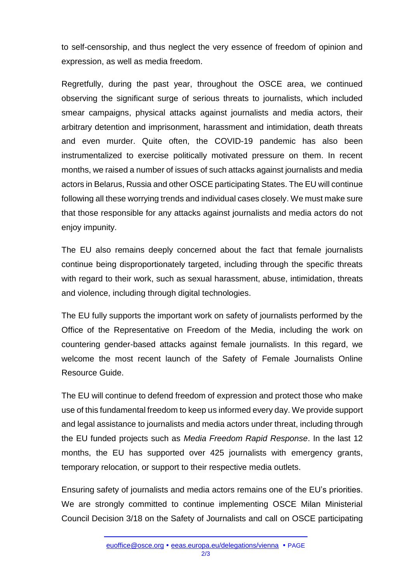to self-censorship, and thus neglect the very essence of freedom of opinion and expression, as well as media freedom.

Regretfully, during the past year, throughout the OSCE area, we continued observing the significant surge of serious threats to journalists, which included smear campaigns, physical attacks against journalists and media actors, their arbitrary detention and imprisonment, harassment and intimidation, death threats and even murder. Quite often, the COVID-19 pandemic has also been instrumentalized to exercise politically motivated pressure on them. In recent months, we raised a number of issues of such attacks against journalists and media actors in Belarus, Russia and other OSCE participating States. The EU will continue following all these worrying trends and individual cases closely. We must make sure that those responsible for any attacks against journalists and media actors do not enjoy impunity.

The EU also remains deeply concerned about the fact that female journalists continue being disproportionately targeted, including through the specific threats with regard to their work, such as sexual harassment, abuse, intimidation, threats and violence, including through digital technologies.

The EU fully supports the important work on safety of journalists performed by the Office of the Representative on Freedom of the Media, including the work on countering gender-based attacks against female journalists. In this regard, we welcome the most recent launch of the Safety of Female Journalists Online Resource Guide.

The EU will continue to defend freedom of expression and protect those who make use of this fundamental freedom to keep us informed every day. We provide support and legal assistance to journalists and media actors under threat, including through the EU funded projects such as *Media Freedom Rapid Response*. In the last 12 months, the EU has supported over 425 journalists with emergency grants, temporary relocation, or support to their respective media outlets.

Ensuring safety of journalists and media actors remains one of the EU's priorities. We are strongly committed to continue implementing OSCE Milan Ministerial Council Decision 3/18 on the Safety of Journalists and call on OSCE participating